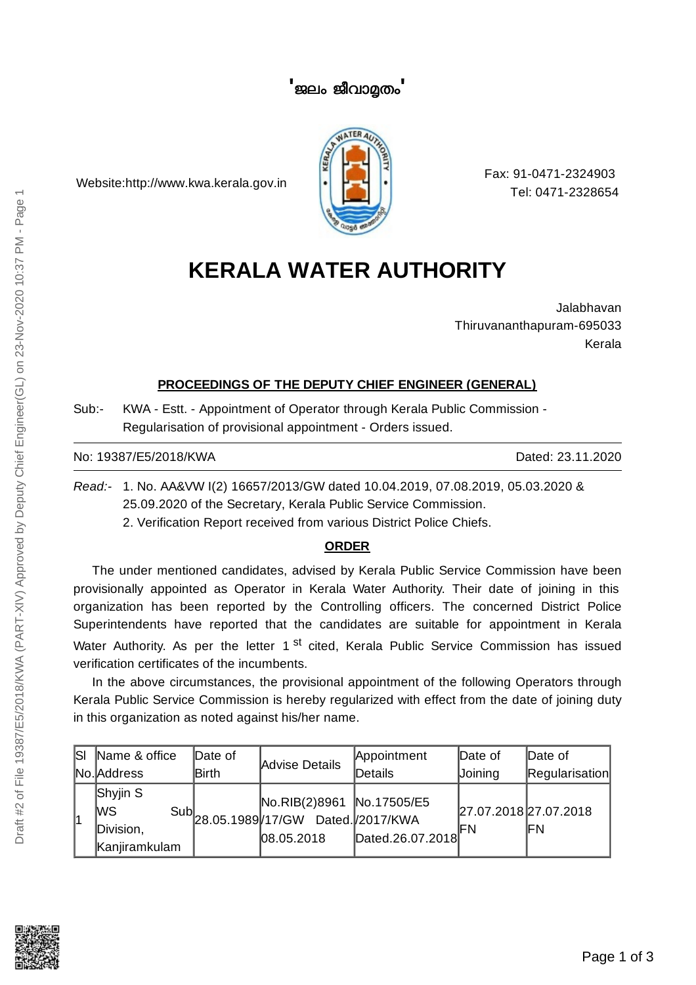#### **'** ജലം ജീവാതം **'**

Website:http://www.kwa.kerala.gov.in



Fax: 91-0471-2324903 Tel: 0471-2328654

# **KERALA WATER AUTHORITY**

Jalabhavan Thiruvananthapuram-695033 Kerala

#### **PROCEEDINGS OF THE DEPUTY CHIEF ENGINEER (GENERAL)**

Sub:- KWA - Estt. - Appointment of Operator through Kerala Public Commission - Regularisation of provisional appointment - Orders issued.

No: 19387/E5/2018/KWA Dated: 23.11.2020

*Read:-* 1. No. AA&VW I(2) 16657/2013/GW dated 10.04.2019, 07.08.2019, 05.03.2020 & 25.09.2020 of the Secretary, Kerala Public Service Commission.

2. Verification Report received from various District Police Chiefs.

#### **ORDER**

The under mentioned candidates, advised by Kerala Public Service Commission have been provisionally appointed as Operator in Kerala Water Authority. Their date of joining in this organization has been reported by the Controlling officers. The concerned District Police Superintendents have reported that the candidates are suitable for appointment in Kerala Water Authority. As per the letter 1 <sup>st</sup> cited, Kerala Public Service Commission has issued verification certificates of the incumbents.

In the above circumstances, the provisional appointment of the following Operators through Kerala Public Service Commission is hereby regularized with effect from the date of joining duty in this organization as noted against his/her name.

| lsı | Name & office                                 | Date of      | Advise Details                                                                             | Appointment      | Date of                             | Date of        |
|-----|-----------------------------------------------|--------------|--------------------------------------------------------------------------------------------|------------------|-------------------------------------|----------------|
|     | No. Address                                   | <b>Birth</b> |                                                                                            | Details          | Joining                             | Regularisation |
| 1   | Shyjin S<br>lws<br>Division,<br>Kanjiramkulam |              | No.RIB(2)8961 No.17505/E5<br>Sub $ _{28.05.1989} $ 17/GW Dated. $ $ 2017/KWA<br>08.05.2018 | Dated.26.07.2018 | 27.07.2018 27.07.2018<br><b>IFN</b> | IFN            |

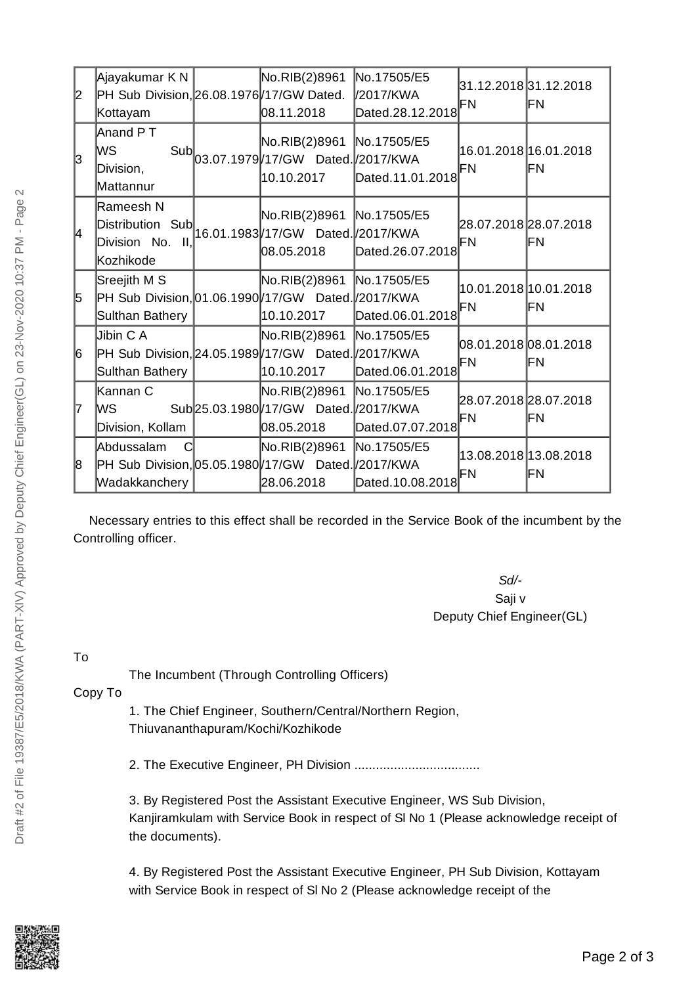| 2  | Ajayakumar K N                                                                                              |  | No.RIB(2)8961                                                                  | No.17505/E5      | lΕN | 31.12.2018 31.12.2018<br>lΕN  |
|----|-------------------------------------------------------------------------------------------------------------|--|--------------------------------------------------------------------------------|------------------|-----|-------------------------------|
|    | PH Sub Division, 26.08.1976 / 17/ GW Dated.                                                                 |  |                                                                                | /2017/KWA        |     |                               |
|    | Kottayam                                                                                                    |  | 08.11.2018                                                                     | Dated.28.12.2018 |     |                               |
| 3  | Anand P T<br>WS<br>Division,<br>Mattannur                                                                   |  | No.RIB(2)8961 No.17505/E5<br>Sub 03.07.1979 17/GW Dated 2017/KWA<br>10.10.2017 | Dated.11.01.2018 | FN  | 16.01.2018 16.01.2018<br>lΕN  |
| 14 | Rameesh N<br>Distribution Sub 16.01.1983 17/GW Dated 2017/KWA<br>Division No.<br>$\mathbf{II}$<br>Kozhikode |  | No.RIB(2)8961 No.17505/E5<br>08.05.2018                                        | Dated.26.07.2018 | ∣FN | 28.07.2018 28.07.2018<br>lΕN  |
| 5  | Sreejith M S                                                                                                |  | No.RIB(2)8961 No.17505/E5                                                      |                  | lΕN | 10.01.2018  10.01.2018<br>lΕN |
|    | PH Sub Division, 01.06.1990 / 17/ GW Dated. / 2017/ KWA                                                     |  |                                                                                |                  |     |                               |
|    | Sulthan Bathery                                                                                             |  |                                                                                |                  |     |                               |
| 16 | Jibin C A                                                                                                   |  | No.RIB(2)8961 No.17505/E5                                                      |                  | IFΝ | 08.01.2018 08.01.2018<br>IΕN  |
|    | PH Sub Division, 24.05.1989/17/GW Dated. / 2017/KWA                                                         |  |                                                                                |                  |     |                               |
|    | Sulthan Bathery                                                                                             |  | 10.10.2017                                                                     | Dated.06.01.2018 |     |                               |
| 17 | lKannan C                                                                                                   |  | No.RIB(2)8961 No.17505/E5                                                      |                  | IFΝ | 28.07.2018 28.07.2018<br>IΕN  |
|    | MS                                                                                                          |  | Sub 25.03.1980 / 17/ GW Dated . 2017/ KWA                                      |                  |     |                               |
|    | Division, Kollam                                                                                            |  | 08.05.2018                                                                     | Dated.07.07.2018 |     |                               |
| 18 | Abdussalam<br>C                                                                                             |  | No.RIB(2)8961 No.17505/E5                                                      |                  | lΕN | 13.08.2018 13.08.2018<br>lΕN  |
|    | PH Sub Division, 05.05.1980/17/GW Dated. 2017/KWA                                                           |  |                                                                                |                  |     |                               |
|    | Wadakkanchery                                                                                               |  | 28.06.2018                                                                     | Dated.10.08.2018 |     |                               |
|    |                                                                                                             |  |                                                                                |                  |     |                               |

Necessary entries to this effect shall be recorded in the Service Book of the incumbent by the Controlling officer.

### *Sd/-* Saji v Deputy Chief Engineer(GL)

## To

The Incumbent (Through Controlling Officers)

Copy To

1. The Chief Engineer, Southern/Central/Northern Region, Thiuvananthapuram/Kochi/Kozhikode

2. The Executive Engineer, PH Division ...................................

3. By Registered Post the Assistant Executive Engineer, WS Sub Division, Kanjiramkulam with Service Book in respect of Sl No 1 (Please acknowledge receipt of the documents).

4. By Registered Post the Assistant Executive Engineer, PH Sub Division, Kottayam with Service Book in respect of Sl No 2 (Please acknowledge receipt of the